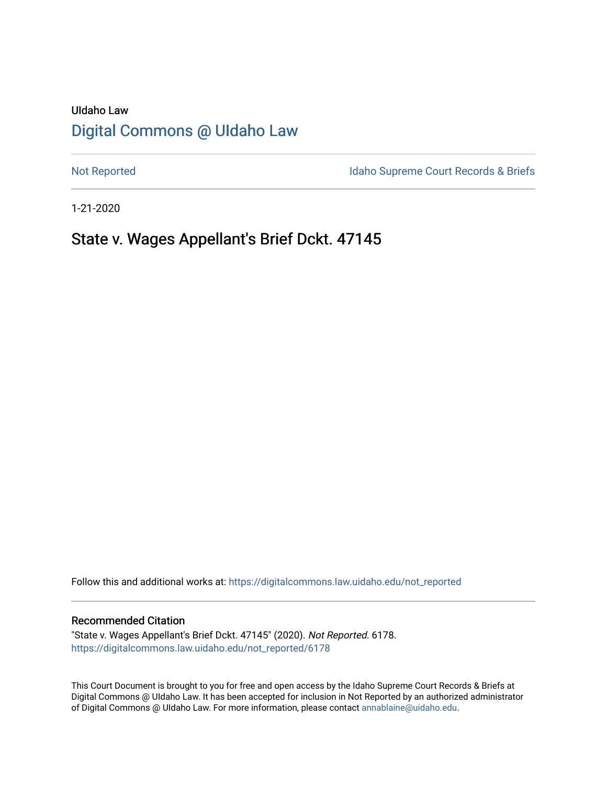## UIdaho Law [Digital Commons @ UIdaho Law](https://digitalcommons.law.uidaho.edu/)

[Not Reported](https://digitalcommons.law.uidaho.edu/not_reported) **Idaho Supreme Court Records & Briefs** 

1-21-2020

# State v. Wages Appellant's Brief Dckt. 47145

Follow this and additional works at: [https://digitalcommons.law.uidaho.edu/not\\_reported](https://digitalcommons.law.uidaho.edu/not_reported?utm_source=digitalcommons.law.uidaho.edu%2Fnot_reported%2F6178&utm_medium=PDF&utm_campaign=PDFCoverPages) 

#### Recommended Citation

"State v. Wages Appellant's Brief Dckt. 47145" (2020). Not Reported. 6178. [https://digitalcommons.law.uidaho.edu/not\\_reported/6178](https://digitalcommons.law.uidaho.edu/not_reported/6178?utm_source=digitalcommons.law.uidaho.edu%2Fnot_reported%2F6178&utm_medium=PDF&utm_campaign=PDFCoverPages)

This Court Document is brought to you for free and open access by the Idaho Supreme Court Records & Briefs at Digital Commons @ UIdaho Law. It has been accepted for inclusion in Not Reported by an authorized administrator of Digital Commons @ UIdaho Law. For more information, please contact [annablaine@uidaho.edu](mailto:annablaine@uidaho.edu).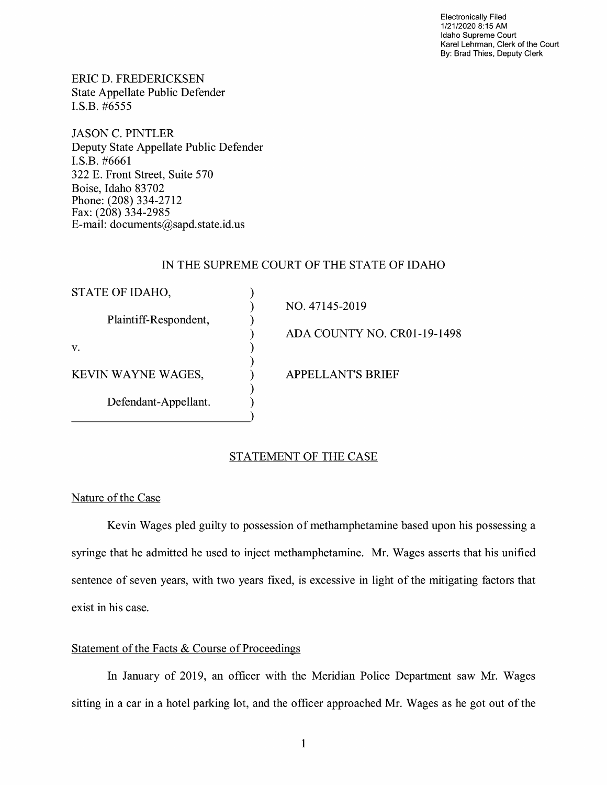Electronically Filed 1/21/2020 8:15 AM Idaho Supreme Court Karel Lehrman, Clerk of the Court By: Brad Thies, Deputy Clerk

ERIC D. FREDERICKSEN State Appellate Public Defender I.S.B. #6555

JASON C. PINTLER Deputy State Appellate Public Defender I.S.B. #6661 322 E. Front Street, Suite 570 Boise, Idaho 83702 Phone: (208) 334-2712 Fax: (208) 334-2985 E-mail: documents@sapd.state.id. us

### IN THE SUPREME COURT OF THE STATE OF IDAHO

| STATE OF IDAHO,       |                             |
|-----------------------|-----------------------------|
| Plaintiff-Respondent, | NO. 47145-2019              |
|                       | ADA COUNTY NO. CR01-19-1498 |
| V.                    |                             |
| KEVIN WAYNE WAGES,    | <b>APPELLANT'S BRIEF</b>    |
| Defendant-Appellant.  |                             |

## STATEMENT OF THE CASE

Nature of the Case

Kevin Wages pied guilty to possession of methamphetamine based upon his possessing a syringe that he admitted he used to inject methamphetamine. Mr. Wages asserts that his unified sentence of seven years, with two years fixed, is excessive in light of the mitigating factors that exist in his case.

## Statement of the Facts & Course of Proceedings

In January of 2019, an officer with the Meridian Police Department saw Mr. Wages sitting in a car in a hotel parking lot, and the officer approached Mr. Wages as he got out of the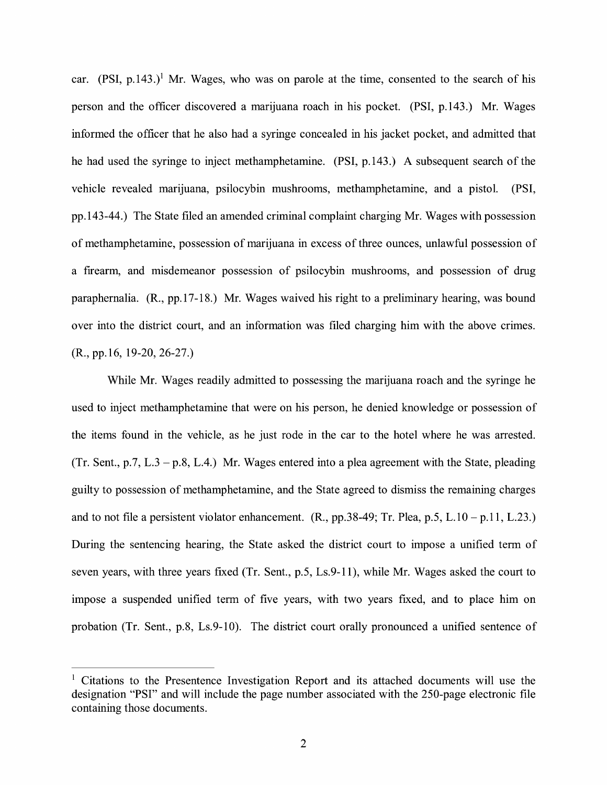car.  $(PSI, p.143.)$ <sup>1</sup> Mr. Wages, who was on parole at the time, consented to the search of his person and the officer discovered a marijuana roach in his pocket. (PSI, p.143.) Mr. Wages informed the officer that he also had a syringe concealed in his jacket pocket, and admitted that he had used the syringe to inject methamphetamine. (PSI, p.143.) A subsequent search of the vehicle revealed marijuana, psilocybin mushrooms, methamphetamine, and a pistol. (PSI, pp.143-44.) The State filed an amended criminal complaint charging Mr. Wages with possession of methamphetamine, possession of marijuana in excess of three ounces, unlawful possession of a firearm, and misdemeanor possession of psilocybin mushrooms, and possession of drug paraphernalia. (R., pp.17-18.) Mr. Wages waived his right to a preliminary hearing, was bound over into the district court, and an information was filed charging him with the above crimes. (R., pp.16, 19-20, 26-27.)

While Mr. Wages readily admitted to possessing the marijuana roach and the syringe he used to inject methamphetamine that were on his person, he denied knowledge or possession of the items found in the vehicle, as he just rode in the car to the hotel where he was arrested. (Tr. Sent., p.7, L.3 – p.8, L.4.) Mr. Wages entered into a plea agreement with the State, pleading guilty to possession of methamphetamine, and the State agreed to dismiss the remaining charges and to not file a persistent violator enhancement.  $(R., pp.38-49; Tr. Plea, p.5, L.10 - p.11, L.23.)$ During the sentencing hearing, the State asked the district court to impose a unified term of seven years, with three years fixed (Tr. Sent., p.5, Ls.9-11), while Mr. Wages asked the court to impose a suspended unified term of five years, with two years fixed, and to place him on probation (Tr. Sent., p.8, Ls.9-10). The district court orally pronounced a unified sentence of

 $1$  Citations to the Presentence Investigation Report and its attached documents will use the designation "PSI" and will include the page number associated with the 250-page electronic file containing those documents.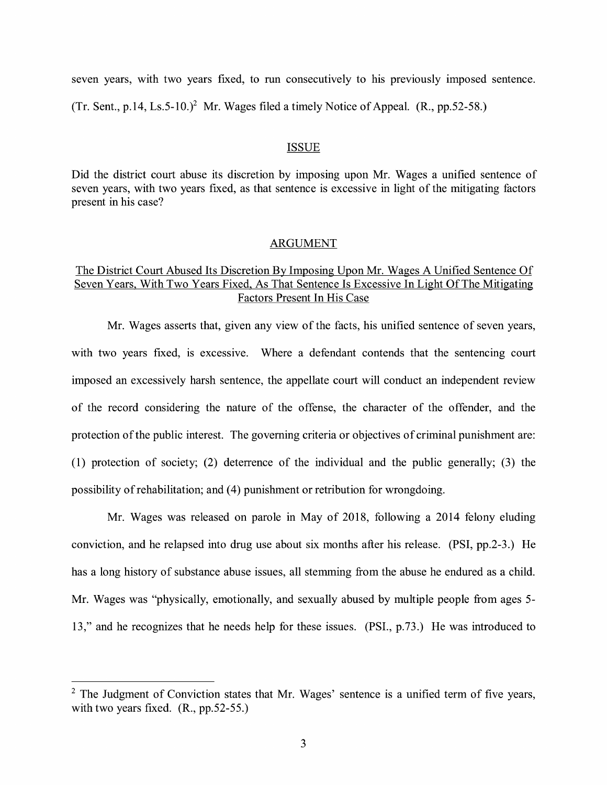seven years, with two years fixed, to run consecutively to his previously imposed sentence. (Tr. Sent., p.14, Ls.5-10.)<sup>2</sup> Mr. Wages filed a timely Notice of Appeal. (R., pp.52-58.)

#### **ISSUE**

Did the district court abuse its discretion by imposing upon Mr. Wages a unified sentence of seven years, with two years fixed, as that sentence is excessive in light of the mitigating factors present in his case?

#### ARGUMENT

## The District Court Abused Its Discretion By Imposing Upon Mr. Wages A Unified Sentence Of Seven Years, With Two Years Fixed, As That Sentence Is Excessive In Light Of The Mitigating Factors Present In His Case

Mr. Wages asserts that, given any view of the facts, his unified sentence of seven years, with two years fixed, is excessive. Where a defendant contends that the sentencing court imposed an excessively harsh sentence, the appellate court will conduct an independent review of the record considering the nature of the offense, the character of the offender, and the protection of the public interest. The governing criteria or objectives of criminal punishment are: (1) protection of society; (2) deterrence of the individual and the public generally; (3) the possibility of rehabilitation; and ( 4) punishment or retribution for wrongdoing.

Mr. Wages was released on parole in May of 2018, following a 2014 felony eluding conviction, and he relapsed into drug use about six months after his release. **(PSI,** pp.2-3.) He has a long history of substance abuse issues, all stemming from the abuse he endured as a child. Mr. Wages was "physically, emotionally, and sexually abused by multiple people from ages 5- 13," and he recognizes that he needs help for these issues. (PSI., p.73.) He was introduced to

 $2$  The Judgment of Conviction states that Mr. Wages' sentence is a unified term of five years, with two years fixed. (R., pp.52-55.)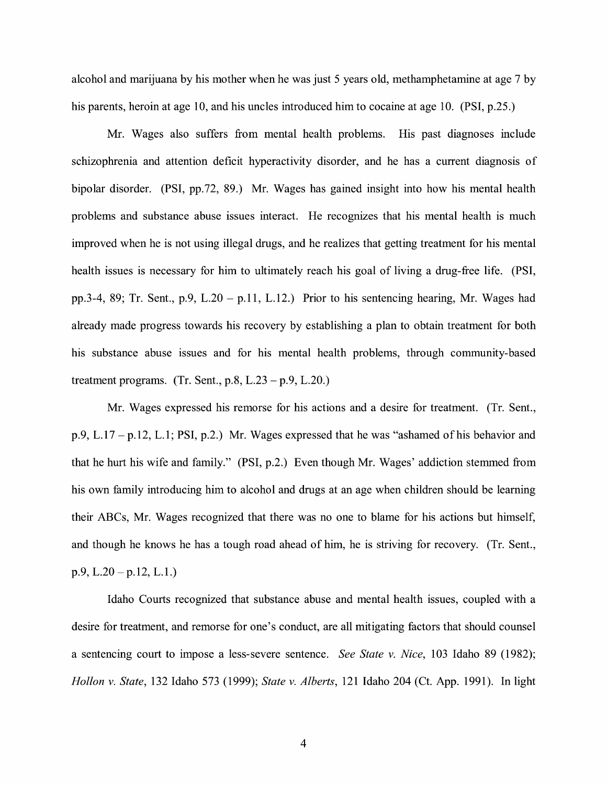alcohol and marijuana by his mother when he was just 5 years old, methamphetamine at age 7 by his parents, heroin at age 10, and his uncles introduced him to cocaine at age 10. (PSI, p.25.)

Mr. Wages also suffers from mental health problems. His past diagnoses include schizophrenia and attention deficit hyperactivity disorder, and he has a current diagnosis of bipolar disorder. **(PSI,** pp.72, 89.) Mr. Wages has gained insight into how his mental health problems and substance abuse issues interact. He recognizes that his mental health is much improved when he is not using illegal drugs, and he realizes that getting treatment for his mental health issues is necessary for him to ultimately reach his goal of living a drug-free life. **(PSI,**  pp.3-4, 89; Tr. Sent., p.9, L.20 – p.11, L.12.) Prior to his sentencing hearing, Mr. Wages had already made progress towards his recovery by establishing a plan to obtain treatment for both his substance abuse issues and for his mental health problems, through community-based treatment programs. (Tr. Sent.,  $p.8$ ,  $L.23 - p.9$ ,  $L.20$ .)

Mr. Wages expressed his remorse for his actions and a desire for treatment. (Tr. Sent., p.9, L.17 -p.12, L.1; PSI, p.2.) Mr. Wages expressed that he was "ashamed of his behavior and that he hurt his wife and family." (PSI, p.2.) Even though Mr. Wages' addiction stemmed from his own family introducing him to alcohol and drugs at an age when children should be learning their ABCs, Mr. Wages recognized that there was no one to blame for his actions but himself, and though he knows he has a tough road ahead of him, he is striving for recovery. (Tr. Sent.,  $p.9, L.20-p.12, L.1.$ 

Idaho Courts recognized that substance abuse and mental health issues, coupled with a desire for treatment, and remorse for one's conduct, are all mitigating factors that should counsel a sentencing court to impose a less-severe sentence. *See State v. Nice,* 103 Idaho 89 (1982); *Hollon v. State,* 132 Idaho 573 (1999); *State v. Alberts,* 121 Idaho 204 (Ct. App. 1991). In light